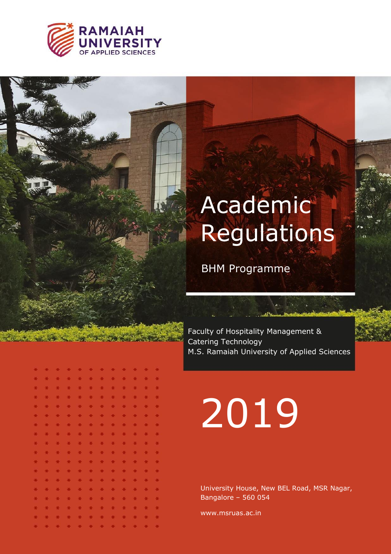

# Academic Regulations

BHM Programme

Faculty of Hospitality Management & Catering Technology M.S. Ramaiah University of Applied Sciences

|    | * * * * * * * * * * * * |               |               |               |           |               |               |                       |               |               |               |  |
|----|-------------------------|---------------|---------------|---------------|-----------|---------------|---------------|-----------------------|---------------|---------------|---------------|--|
| ¥. | $+$                     | $+$           |               | * * * * * *   |           |               |               |                       | $+$           | $+$           | $+1$          |  |
| ×. | *                       | $+$           | $+$           |               | * * *     |               | $*$           | $*$                   | $\frac{1}{2}$ | $+$           | 夹             |  |
| ×. | 米                       | $\ast$        | $\frac{1}{2}$ |               | * * *     |               | 米             | $+$                   | 米             | $+1$          | $\frac{1}{2}$ |  |
| *  | 米                       | $\frac{1}{2}$ | $\rightarrow$ | * *           |           | 米             | *             | $\ast$                | 米             | 米             | $\frac{1}{2}$ |  |
| *  | 米                       | $\#$          | $+$           | *             | $\pm$     | $*$           | 一条            |                       | * *           | $+$           | $\rightarrow$ |  |
| *  | $*$                     |               |               | * * * *       |           | $+$           | $*$           | $\star$               | $+$           | $\frac{1}{2}$ | $-36$         |  |
| ×. |                         |               |               |               |           |               |               | * * * * * * * * * * * |               |               |               |  |
| ×  | $\frac{M}{2}$           |               |               |               |           |               |               | * * * * * * * *       |               | $+$           | $+$           |  |
| ×. | $+$                     | $\ast$        |               | * * * *       |           |               | * *           |                       | $+$           | $\ast$        | $+$           |  |
| ×  | $\star$                 |               |               |               |           |               |               | * * * * * * * *       |               | $+$           | $\rightarrow$ |  |
| ×. | $*$                     | $\#$          | $+$           |               | * * *     |               | $*$           | $\star$               |               | * *           | $+$           |  |
| *  | $*$                     | $\ast$        | $\star$       | $\frac{1}{2}$ | $\#$      | $\frac{1}{2}$ | $\frac{1}{N}$ | $+$                   | $+$           | $\ast$        | $\rightarrow$ |  |
| ×. | *                       | $+$           | $\frac{1}{2}$ | $+$           |           | * *           | 美             | $+$                   | 美             | $\frac{1}{2}$ | $\frac{1}{2}$ |  |
| *  | $\ast$                  | $*$           | $\mathcal{H}$ | $\frac{1}{2}$ | $\bullet$ | $*$           | *             | $*$                   | 一关            | $\frac{1}{2}$ | $\mathcal{H}$ |  |
| ¥. | $+$                     | $\ast$        | $+$           |               |           | * * * *       |               | $+$                   | $\frac{1}{2}$ | $\frac{1}{2}$ | $\star$       |  |
|    | * * * * * * * * * * * * |               |               |               |           |               |               |                       |               |               |               |  |

# 2019

University House, New BEL Road, MSR Nagar, Bangalore – 560 054

www.msruas.ac.in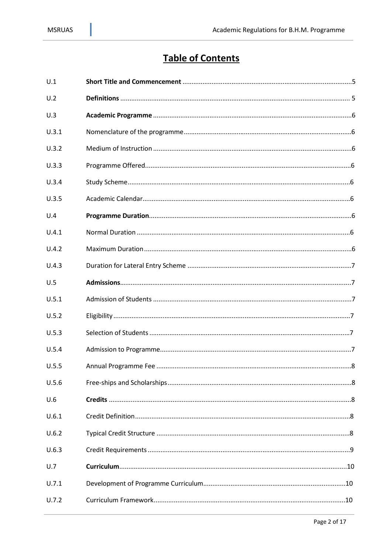# **Table of Contents**

| U.1   |  |
|-------|--|
| U.2   |  |
| U.3   |  |
| U.3.1 |  |
| U.3.2 |  |
| U.3.3 |  |
| U.3.4 |  |
| U.3.5 |  |
| U.4   |  |
| U.4.1 |  |
| U.4.2 |  |
| U.4.3 |  |
| U.5   |  |
| U.5.1 |  |
| U.5.2 |  |
| U.5.3 |  |
| U.5.4 |  |
| U.5.5 |  |
| U.5.6 |  |
| U.6   |  |
| U.6.1 |  |
| U.6.2 |  |
| U.6.3 |  |
| U.7   |  |
| U.7.1 |  |
| U.7.2 |  |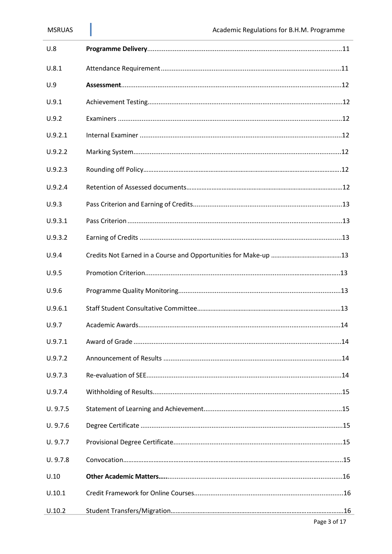| U.8      |  |
|----------|--|
| U.8.1    |  |
| U.9      |  |
| U.9.1    |  |
| U.9.2    |  |
| U.9.2.1  |  |
| U.9.2.2  |  |
| U.9.2.3  |  |
| U.9.2.4  |  |
| U.9.3    |  |
| U.9.3.1  |  |
| U.9.3.2  |  |
| U.9.4    |  |
| U.9.5    |  |
| U.9.6    |  |
| U.9.6.1  |  |
| U.9.7    |  |
| U.9.7.1  |  |
| U.9.7.2  |  |
| U.9.7.3  |  |
| U.9.7.4  |  |
| U. 9.7.5 |  |
| U. 9.7.6 |  |
| U. 9.7.7 |  |
| U. 9.7.8 |  |
| U.10     |  |
| U.10.1   |  |
| U.10.2   |  |
|          |  |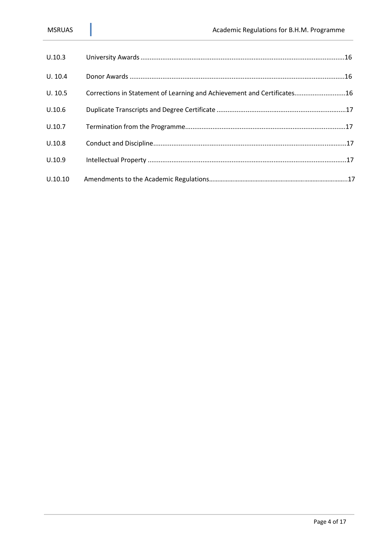| U.10.3  |                                                                         |
|---------|-------------------------------------------------------------------------|
| U. 10.4 |                                                                         |
| U. 10.5 | Corrections in Statement of Learning and Achievement and Certificates16 |
| U.10.6  |                                                                         |
| U.10.7  |                                                                         |
| U.10.8  |                                                                         |
| U.10.9  |                                                                         |
| U.10.10 |                                                                         |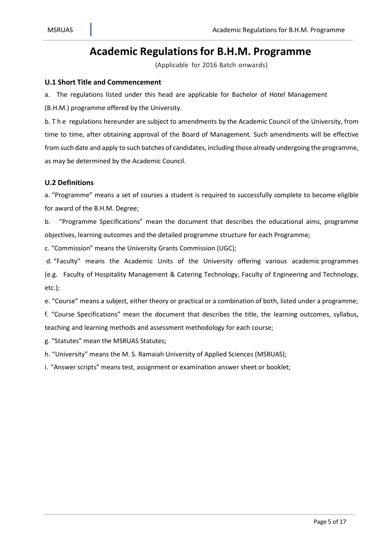# **Academic Regulationsfor B.H.M. Programme**

(Applicable for 2016 Batch onwards)

#### **U.1 Short Title and Commencement**

a. The regulations listed under this head are applicable for Bachelor of Hotel Management

(B.H.M.) programme offered by the University.

b. T h e regulations hereunder are subject to amendments by the Academic Council of the University, from time to time, after obtaining approval of the Board of Management. Such amendments will be effective from such date and apply to such batches of candidates, including those already undergoing the programme, as may be determined by the Academic Council.

#### **U.2 Definitions**

a. "Programme" means a set of courses a student is required to successfully complete to become eligible for award of the B.H.M. Degree;

b. "Programme Specifications" mean the document that describes the educational aims, programme objectives, learning outcomes and the detailed programme structure for each Programme;

c. "Commission" means the University Grants Commission (UGC);

d. "Faculty" means the Academic Units of the University offering various academic programmes (e.g. Faculty of Hospitality Management & Catering Technology, Faculty of Engineering and Technology, etc.);

e. "Course" means a subject, either theory or practical or a combination of both, listed under a programme; f. "Course Specifications" mean the document that describes the title, the learning outcomes, syllabus, teaching and learning methods and assessment methodology for each course;

g. "Statutes" mean the MSRUAS Statutes;

h. "University" means the M. S. Ramaiah University of Applied Sciences (MSRUAS);

i. "Answer scripts" means test, assignment or examination answer sheet or booklet;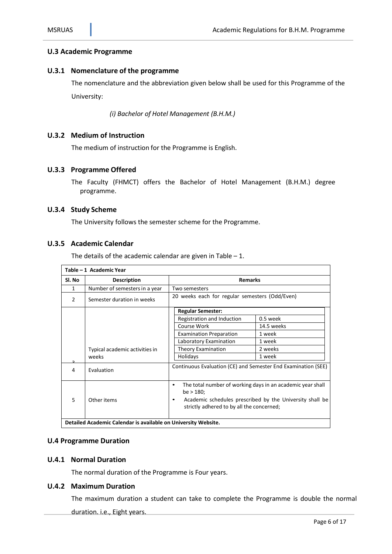#### **U.3 Academic Programme**

#### **U.3.1 Nomenclature of the programme**

The nomenclature and the abbreviation given below shall be used for this Programme of the University:

*(i) Bachelor of Hotel Management (B.H.M.)*

#### **U.3.2 Medium of Instruction**

The medium of instruction for the Programme is English.

#### **U.3.3 Programme Offered**

The Faculty (FHMCT) offers the Bachelor of Hotel Management (B.H.M.) degree programme.

#### **U.3.4 Study Scheme**

The University follows the semester scheme for the Programme.

#### **U.3.5 Academic Calendar**

The details of the academic calendar are given in Table  $-1$ .

| Table – 1 Academic Year |                                                                |                                                                                         |                                                          |  |  |  |  |
|-------------------------|----------------------------------------------------------------|-----------------------------------------------------------------------------------------|----------------------------------------------------------|--|--|--|--|
| Sl. No                  | <b>Description</b>                                             | <b>Remarks</b>                                                                          |                                                          |  |  |  |  |
| 1                       | Number of semesters in a year                                  | Two semesters                                                                           |                                                          |  |  |  |  |
| $\mathcal{P}$           | Semester duration in weeks                                     | 20 weeks each for regular semesters (Odd/Even)                                          |                                                          |  |  |  |  |
|                         |                                                                | <b>Regular Semester:</b>                                                                |                                                          |  |  |  |  |
|                         |                                                                | Registration and Induction                                                              | $0.5$ week                                               |  |  |  |  |
|                         |                                                                | Course Work                                                                             | 14.5 weeks                                               |  |  |  |  |
|                         |                                                                | <b>Examination Preparation</b>                                                          | 1 week                                                   |  |  |  |  |
|                         |                                                                | Laboratory Examination                                                                  | 1 week                                                   |  |  |  |  |
|                         | Typical academic activities in                                 | <b>Theory Examination</b>                                                               | 2 weeks                                                  |  |  |  |  |
|                         | weeks                                                          | Holidays                                                                                | 1 week                                                   |  |  |  |  |
| 4                       | Evaluation                                                     | Continuous Evaluation (CE) and Semester End Examination (SEE)                           |                                                          |  |  |  |  |
|                         |                                                                | The total number of working days in an academic year shall<br>$\bullet$<br>$be > 180$ ; |                                                          |  |  |  |  |
| 5                       | Other items                                                    | strictly adhered to by all the concerned;                                               | Academic schedules prescribed by the University shall be |  |  |  |  |
|                         | Detailed Academic Calendar is available on University Website. |                                                                                         |                                                          |  |  |  |  |

#### **U.4 Programme Duration**

#### **U.4.1 Normal Duration**

The normal duration of the Programme is Four years.

#### **U.4.2 Maximum Duration**

The maximum duration a student can take to complete the Programme is double the normal duration. i.e., Eight years.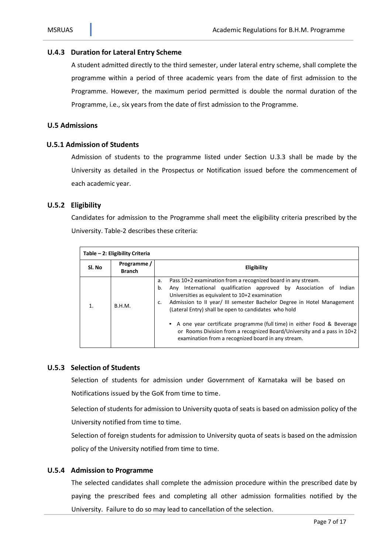#### **U.4.3 Duration for Lateral Entry Scheme**

A student admitted directly to the third semester, under lateral entry scheme, shall complete the programme within a period of three academic years from the date of first admission to the Programme. However, the maximum period permitted is double the normal duration of the Programme, i.e., six years from the date of first admission to the Programme.

#### **U.5 Admissions**

#### **U.5.1 Admission of Students**

Admission of students to the programme listed under Section U.3.3 shall be made by the University as detailed in the Prospectus or Notification issued before the commencement of each academic year.

#### **U.5.2 Eligibility**

Candidates for admission to the Programme shall meet the eligibility criteria prescribed by the University. Table-2 describes these criteria:

|        | Table - 2: Eligibility Criteria |                                                                                                                                                                                                                                                                                                                                                                                                                                                                                                                                                                    |  |  |  |  |  |  |  |
|--------|---------------------------------|--------------------------------------------------------------------------------------------------------------------------------------------------------------------------------------------------------------------------------------------------------------------------------------------------------------------------------------------------------------------------------------------------------------------------------------------------------------------------------------------------------------------------------------------------------------------|--|--|--|--|--|--|--|
| Sl. No | Programme /<br><b>Branch</b>    | Eligibility                                                                                                                                                                                                                                                                                                                                                                                                                                                                                                                                                        |  |  |  |  |  |  |  |
|        | B.H.M.                          | Pass 10+2 examination from a recognized board in any stream.<br>a.<br>Any International qualification approved by Association of<br>b.<br>Indian<br>Universities as equivalent to 10+2 examination<br>Admission to II year/ III semester Bachelor Degree in Hotel Management<br>c.<br>(Lateral Entry) shall be open to candidates who hold<br>A one year certificate programme (full time) in either Food & Beverage<br>$\bullet$<br>or Rooms Division from a recognized Board/University and a pass in 10+2<br>examination from a recognized board in any stream. |  |  |  |  |  |  |  |

#### **U.5.3 Selection of Students**

Selection of students for admission under Government of Karnataka will be based on Notifications issued by the GoK from time to time.

Selection of students for admission to University quota of seats is based on admission policy of the University notified from time to time.

Selection of foreign students for admission to University quota of seats is based on the admission policy of the University notified from time to time.

#### **U.5.4 Admission to Programme**

The selected candidates shall complete the admission procedure within the prescribed date by paying the prescribed fees and completing all other admission formalities notified by the University. Failure to do so may lead to cancellation of the selection.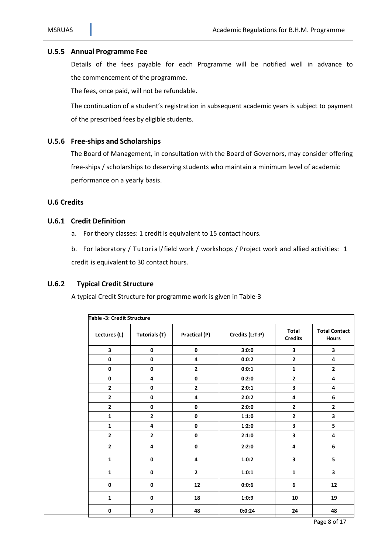#### **U.5.5 Annual Programme Fee**

Details of the fees payable for each Programme will be notified well in advance to the commencement of the programme.

The fees, once paid, will not be refundable.

The continuation of a student's registration in subsequent academic years is subject to payment of the prescribed fees by eligible students.

#### **U.5.6 Free-ships and Scholarships**

The Board of Management, in consultation with the Board of Governors, may consider offering free-ships / scholarships to deserving students who maintain a minimum level of academic performance on a yearly basis.

#### **U.6 Credits**

#### **U.6.1 Credit Definition**

- a. For theory classes: 1 credit is equivalent to 15 contact hours.
- b. For laboratory / Tutorial/field work / workshops / Project work and allied activities: 1

credit is equivalent to 30 contact hours.

#### **U.6.2 Typical Credit Structure**

A typical Credit Structure for programme work is given in Table-3

| Table -3: Credit Structure |                      |                |                 |                                |                                      |  |
|----------------------------|----------------------|----------------|-----------------|--------------------------------|--------------------------------------|--|
| Lectures (L)               | <b>Tutorials (T)</b> | Practical (P)  | Credits (L:T:P) | <b>Total</b><br><b>Credits</b> | <b>Total Contact</b><br><b>Hours</b> |  |
| 3                          | $\mathbf 0$          | 0              | 3:0:0           | 3                              | 3                                    |  |
| $\mathbf 0$                | $\pmb{0}$            | 4              | 0:0:2           | $\mathbf{2}$                   | 4                                    |  |
| $\pmb{0}$                  | $\pmb{0}$            | $\mathbf{2}$   | 0:0:1           | $\mathbf 1$                    | $\mathbf{2}$                         |  |
| $\mathbf 0$                | 4                    | 0              | 0:2:0           | $\overline{\mathbf{c}}$        | 4                                    |  |
| $\mathbf{2}$               | 0                    | $\mathbf{2}$   | 2:0:1           | 3                              | 4                                    |  |
| $\overline{\mathbf{c}}$    | 0                    | 4              | 2:0:2           | 4                              | 6                                    |  |
| $\mathbf{2}$               | 0                    | 0              | 2:0:0           | $\overline{2}$                 | $\mathbf{2}$                         |  |
| $\mathbf 1$                | $\mathbf{2}$         | 0              | 1:1:0           | $\overline{\mathbf{c}}$        | $\overline{\mathbf{3}}$              |  |
| $\mathbf{1}$               | 4                    | 0              | 1:2:0           | 3                              | 5                                    |  |
| $\mathbf{2}$               | $\mathbf{2}$         | 0              | 2:1:0           | 3                              | 4                                    |  |
| $\overline{\mathbf{2}}$    | 4                    | 0              | 2:2:0           | 4                              | 6                                    |  |
| $\mathbf{1}$               | 0                    | 4              | 1:0:2           | 3                              | 5                                    |  |
| $\mathbf{1}$               | 0                    | $\overline{2}$ | 1:0:1           | $\mathbf{1}$                   | 3                                    |  |
| $\mathbf 0$                | 0                    | 12             | 0:0:6           | 6                              | 12                                   |  |
| $\mathbf 1$                | $\mathbf 0$          | 18             | 1:0:9           | 10                             | 19                                   |  |
| 0                          | 0                    | 48             | 0:0:24          | 24                             | 48                                   |  |

Page 8 of 17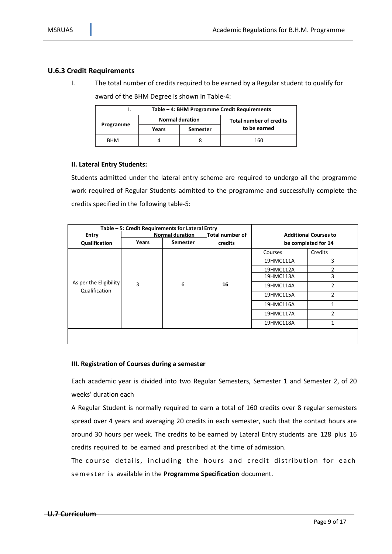#### **U.6.3 Credit Requirements**

I. The total number of credits required to be earned by a Regular student to qualify for award of the BHM Degree is shown in Table-4:

| Table – 4: BHM Programme Credit Requirements |                        |                 |                                |  |  |  |  |
|----------------------------------------------|------------------------|-----------------|--------------------------------|--|--|--|--|
|                                              | <b>Normal duration</b> |                 | <b>Total number of credits</b> |  |  |  |  |
| Programme                                    | Years                  | <b>Semester</b> | to be earned                   |  |  |  |  |
| <b>BHM</b>                                   |                        |                 | 160                            |  |  |  |  |

#### **II. Lateral Entry Students:**

Students admitted under the lateral entry scheme are required to undergo all the programme work required of Regular Students admitted to the programme and successfully complete the credits specified in the following table-5:

|                        | Table - 5: Credit Requirements for Lateral Entry |                 |                 |                              |                     |
|------------------------|--------------------------------------------------|-----------------|-----------------|------------------------------|---------------------|
| Entry                  | <b>Normal duration</b>                           |                 | Total number of | <b>Additional Courses to</b> |                     |
| Qualification          | Years                                            | <b>Semester</b> | credits         |                              | be completed for 14 |
|                        |                                                  | 6               | 16              | Courses                      | Credits             |
|                        |                                                  |                 |                 | 19HMC111A                    | 3                   |
|                        | 3                                                |                 |                 | 19HMC112A                    | 2                   |
|                        |                                                  |                 |                 | 19HMC113A                    | 3                   |
| As per the Eligibility |                                                  |                 |                 | 19HMC114A                    | $\overline{2}$      |
| Qualification          |                                                  |                 |                 | 19HMC115A                    | 2                   |
|                        |                                                  |                 |                 | 19HMC116A                    | $\mathbf{1}$        |
|                        |                                                  |                 |                 | 19HMC117A                    | $\overline{2}$      |
|                        |                                                  |                 |                 | 19HMC118A                    | 1                   |
|                        |                                                  |                 |                 |                              |                     |

#### **III. Registration of Courses during a semester**

Each academic year is divided into two Regular Semesters, Semester 1 and Semester 2, of 20 weeks' duration each

A Regular Student is normally required to earn a total of 160 credits over 8 regular semesters spread over 4 years and averaging 20 credits in each semester, such that the contact hours are around 30 hours per week. The credits to be earned by Lateral Entry students are 128 plus 16 credits required to be earned and prescribed at the time of admission.

The course details, including the hours and credit distribution for each s em es te r is available in the **Programme Specification** document.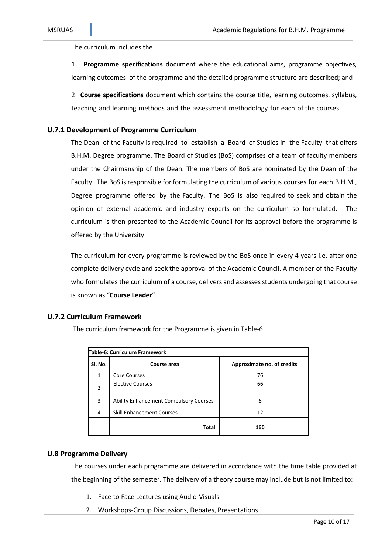The curriculum includes the

1. **Programme specifications** document where the educational aims, programme objectives, learning outcomes of the programme and the detailed programme structure are described; and

2. **Course specifications** document which contains the course title, learning outcomes, syllabus, teaching and learning methods and the assessment methodology for each of the courses.

#### **U.7.1 Development of Programme Curriculum**

The Dean of the Faculty is required to establish a Board of Studies in the Faculty that offers B.H.M. Degree programme. The Board of Studies (BoS) comprises of a team of faculty members under the Chairmanship of the Dean. The members of BoS are nominated by the Dean of the Faculty. The BoS is responsible for formulating the curriculum of various courses for each B.H.M., Degree programme offered by the Faculty. The BoS is also required to seek and obtain the opinion of external academic and industry experts on the curriculum so formulated. The curriculum is then presented to the Academic Council for its approval before the programme is offered by the University.

The curriculum for every programme is reviewed by the BoS once in every 4 years i.e. after one complete delivery cycle and seek the approval of the Academic Council. A member of the Faculty who formulates the curriculum of a course, delivers and assesses students undergoing that course is known as "**Course Leader**".

#### **U.7.2 Curriculum Framework**

The curriculum framework for the Programme is given in Table-6.

| Table-6: Curriculum Framework |                                               |                            |  |  |  |  |  |
|-------------------------------|-----------------------------------------------|----------------------------|--|--|--|--|--|
| SI. No.                       | Course area                                   | Approximate no. of credits |  |  |  |  |  |
| 1                             | <b>Core Courses</b>                           | 76                         |  |  |  |  |  |
| 2                             | <b>Elective Courses</b>                       | 66                         |  |  |  |  |  |
| 3                             | <b>Ability Enhancement Compulsory Courses</b> | 6                          |  |  |  |  |  |
| 4                             | <b>Skill Enhancement Courses</b>              | 12                         |  |  |  |  |  |
|                               | Total                                         | 160                        |  |  |  |  |  |

#### **U.8 Programme Delivery**

The courses under each programme are delivered in accordance with the time table provided at the beginning of the semester. The delivery of a theory course may include but is not limited to:

- 1. Face to Face Lectures using Audio-Visuals
- 2. Workshops-Group Discussions, Debates, Presentations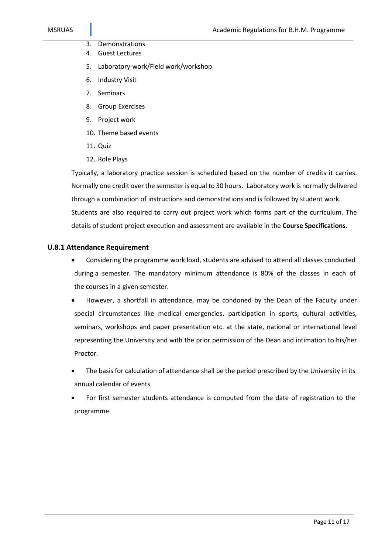- 3. Demonstrations
- 4. Guest Lectures
- 5. Laboratory-work/Field work/workshop
- 6. Industry Visit
- 7. Seminars
- 8. Group Exercises
- 9. Project work
- 10. Theme based events
- 11. Quiz
- 12. Role Plays

Typically, a laboratory practice session is scheduled based on the number of credits it carries. Normally one credit over the semester is equal to 30 hours. Laboratory work is normally delivered through a combination of instructions and demonstrations and is followed by student work. Students are also required to carry out project work which forms part of the curriculum. The details of student project execution and assessment are available in the **Course Specifications**.

#### **U.8.1 Attendance Requirement**

- Considering the programme work load, students are advised to attend all classes conducted during a semester. The mandatory minimum attendance is 80% of the classes in each of the courses in a given semester.
- However, a shortfall in attendance, may be condoned by the Dean of the Faculty under special circumstances like medical emergencies, participation in sports, cultural activities, seminars, workshops and paper presentation etc. at the state, national or international level representing the University and with the prior permission of the Dean and intimation to his/her Proctor.
- The basis for calculation of attendance shall be the period prescribed by the University in its annual calendar of events.
- For first semester students attendance is computed from the date of registration to the programme.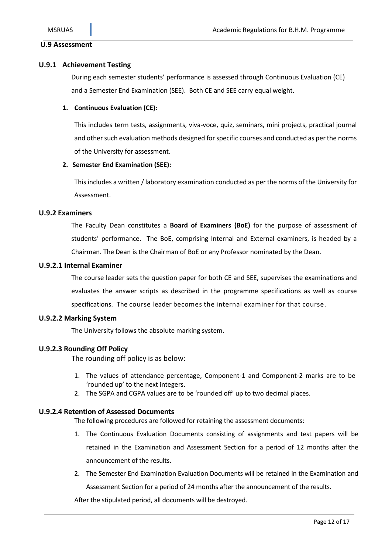#### **U.9 Assessment**

#### **U.9.1 Achievement Testing**

During each semester students' performance is assessed through Continuous Evaluation (CE) and a Semester End Examination (SEE). Both CE and SEE carry equal weight.

#### **1. Continuous Evaluation (CE):**

This includes term tests, assignments, viva-voce, quiz, seminars, mini projects, practical journal and other such evaluation methods designed for specific courses and conducted as per the norms of the University for assessment.

#### **2. Semester End Examination (SEE):**

This includes a written / laboratory examination conducted as per the norms of the University for Assessment.

#### **U.9.2 Examiners**

The Faculty Dean constitutes a **Board of Examiners (BoE)** for the purpose of assessment of students' performance. The BoE, comprising Internal and External examiners, is headed by a Chairman. The Dean is the Chairman of BoE or any Professor nominated by the Dean.

#### **U.9.2.1 Internal Examiner**

The course leader sets the question paper for both CE and SEE, supervises the examinations and evaluates the answer scripts as described in the programme specifications as well as course specifications. The course leader becomes the internal examiner for that course.

#### **U.9.2.2 Marking System**

The University follows the absolute marking system.

#### **U.9.2.3 Rounding Off Policy**

The rounding off policy is as below:

- 1. The values of attendance percentage, Component-1 and Component-2 marks are to be 'rounded up' to the next integers.
- 2. The SGPA and CGPA values are to be 'rounded off' up to two decimal places.

#### **U.9.2.4 Retention of Assessed Documents**

The following procedures are followed for retaining the assessment documents:

- 1. The Continuous Evaluation Documents consisting of assignments and test papers will be retained in the Examination and Assessment Section for a period of 12 months after the announcement of the results.
- 2. The Semester End Examination Evaluation Documents will be retained in the Examination and Assessment Section for a period of 24 months after the announcement of the results.

After the stipulated period, all documents will be destroyed.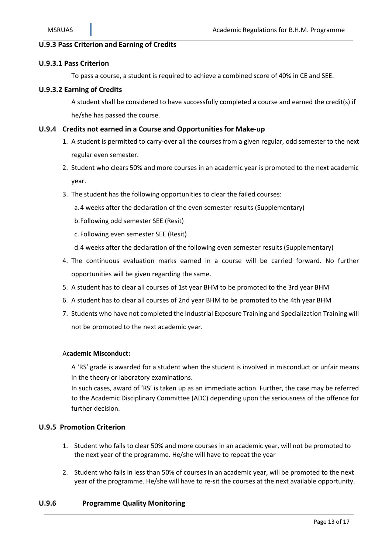#### **U.9.3 Pass Criterion and Earning of Credits**

#### **U.9.3.1 Pass Criterion**

To pass a course, a student is required to achieve a combined score of 40% in CE and SEE.

#### **U.9.3.2 Earning of Credits**

A student shall be considered to have successfully completed a course and earned the credit(s) if he/she has passed the course.

#### **U.9.4 Credits not earned in a Course and Opportunitiesfor Make-up**

- 1. A student is permitted to carry-over all the courses from a given regular, odd semester to the next regular even semester.
- 2. Student who clears 50% and more courses in an academic year is promoted to the next academic year.
- 3. The student has the following opportunities to clear the failed courses:
	- a.4 weeks after the declaration of the even semester results (Supplementary)
	- b.Following odd semester SEE (Resit)
	- c. Following even semester SEE (Resit)
	- d.4 weeks after the declaration of the following even semester results (Supplementary)
- 4. The continuous evaluation marks earned in a course will be carried forward. No further opportunities will be given regarding the same.
- 5. A student has to clear all courses of 1st year BHM to be promoted to the 3rd year BHM
- 6. A student has to clear all courses of 2nd year BHM to be promoted to the 4th year BHM
- 7. Students who have not completed the Industrial Exposure Training and Specialization Training will not be promoted to the next academic year.

#### A**cademic Misconduct:**

A 'RS' grade is awarded for a student when the student is involved in misconduct or unfair means in the theory or laboratory examinations.

In such cases, award of 'RS' is taken up as an immediate action. Further, the case may be referred to the Academic Disciplinary Committee (ADC) depending upon the seriousness of the offence for further decision.

#### **U.9.5 Promotion Criterion**

- 1. Student who fails to clear 50% and more courses in an academic year, will not be promoted to the next year of the programme. He/she will have to repeat the year
- 2. Student who fails in less than 50% of courses in an academic year, will be promoted to the next year of the programme. He/she will have to re-sit the courses at the next available opportunity.

#### **U.9.6 Programme Quality Monitoring**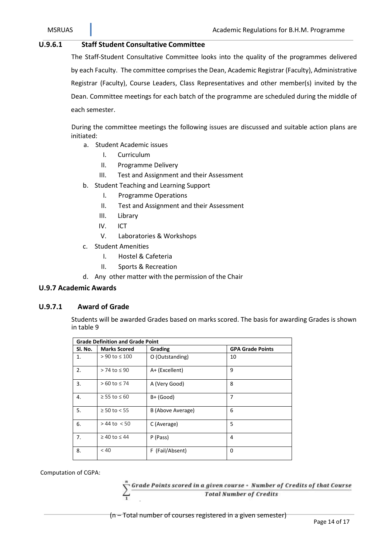#### **U.9.6.1 Staff Student Consultative Committee**

The Staff-Student Consultative Committee looks into the quality of the programmes delivered by each Faculty. The committee comprises the Dean, Academic Registrar (Faculty), Administrative Registrar (Faculty), Course Leaders, Class Representatives and other member(s) invited by the Dean. Committee meetings for each batch of the programme are scheduled during the middle of each semester.

During the committee meetings the following issues are discussed and suitable action plans are initiated:

- a. Student Academic issues
	- I. Curriculum
	- II. Programme Delivery
	- III. Test and Assignment and their Assessment
- b. Student Teaching and Learning Support
	- I. Programme Operations
	- II. Test and Assignment and their Assessment
	- III. Library
	- IV. ICT
	- V. Laboratories & Workshops
- c. Student Amenities
	- I. Hostel & Cafeteria
	- II. Sports & Recreation
- d. Any other matter with the permission of the Chair

#### **U.9.7 Academic Awards**

#### **U.9.7.1 Award of Grade**

Students will be awarded Grades based on marks scored. The basis for awarding Grades is shown in table 9

| <b>Grade Definition and Grade Point</b> |                        |                   |                         |  |  |  |  |
|-----------------------------------------|------------------------|-------------------|-------------------------|--|--|--|--|
| Sl. No.                                 | <b>Marks Scored</b>    | Grading           | <b>GPA Grade Points</b> |  |  |  |  |
| 1.                                      | > 90 to ≤ 100          | O (Outstanding)   | 10                      |  |  |  |  |
| 2.                                      | $> 74$ to $\leq 90$    | A+ (Excellent)    | 9                       |  |  |  |  |
| 3.                                      | $>60$ to $\leq 74$     | A (Very Good)     | 8                       |  |  |  |  |
| 4.                                      | $≥ 55$ to $≤ 60$       | $B+$ (Good)       | 7                       |  |  |  |  |
| 5.                                      | $\geq 50$ to < 55      | B (Above Average) | 6                       |  |  |  |  |
| 6.                                      | $> 44$ to $< 50$       | C (Average)       | 5                       |  |  |  |  |
| 7.                                      | $\geq 40$ to $\leq 44$ | P (Pass)          | 4                       |  |  |  |  |
| 8.                                      | < 40                   | F (Fail/Absent)   | 0                       |  |  |  |  |

Computation of CGPA:

Grade Points scored in a given course + Number of Credits of that Course **Total Number of Credits** 

(n – Total number of courses registered in a given semester)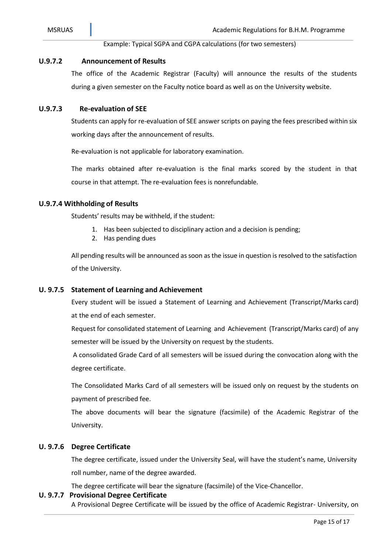#### Example: Typical SGPA and CGPA calculations (for two semesters)

#### **U.9.7.2 Announcement of Results**

The office of the Academic Registrar (Faculty) will announce the results of the students during a given semester on the Faculty notice board as well as on the University website.

#### **U.9.7.3 Re-evaluation of SEE**

Students can apply for re-evaluation of SEE answer scripts on paying the fees prescribed within six working days after the announcement of results.

Re-evaluation is not applicable for laboratory examination.

The marks obtained after re-evaluation is the final marks scored by the student in that course in that attempt. The re-evaluation fees is nonrefundable.

#### **U.9.7.4 Withholding of Results**

Students' results may be withheld, if the student:

- 1. Has been subjected to disciplinary action and a decision is pending;
- 2. Has pending dues

All pending results will be announced as soon as the issue in question is resolved to the satisfaction of the University.

#### **U. 9.7.5 Statement of Learning and Achievement**

Every student will be issued a Statement of Learning and Achievement (Transcript/Marks card) at the end of each semester.

Request for consolidated statement of Learning and Achievement (Transcript/Marks card) of any semester will be issued by the University on request by the students.

A consolidated Grade Card of all semesters will be issued during the convocation along with the degree certificate.

The Consolidated Marks Card of all semesters will be issued only on request by the students on payment of prescribed fee.

The above documents will bear the signature (facsimile) of the Academic Registrar of the University.

#### **U. 9.7.6 Degree Certificate**

The degree certificate, issued under the University Seal, will have the student's name, University roll number, name of the degree awarded.

The degree certificate will bear the signature (facsimile) of the Vice-Chancellor.

#### **U. 9.7.7 Provisional Degree Certificate**

A Provisional Degree Certificate will be issued by the office of Academic Registrar- University, on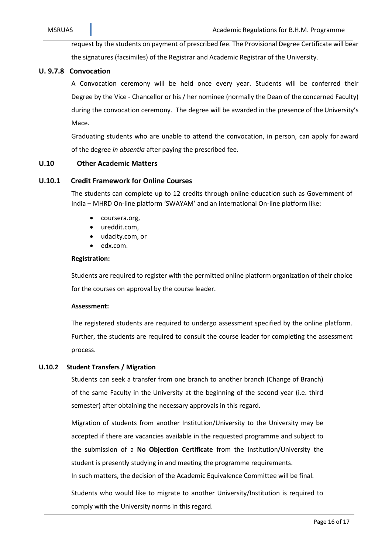request by the students on payment of prescribed fee. The Provisional Degree Certificate will bear the signatures (facsimiles) of the Registrar and Academic Registrar of the University.

#### **U. 9.7.8 Convocation**

A Convocation ceremony will be held once every year. Students will be conferred their Degree by the Vice - Chancellor or his / her nominee (normally the Dean of the concerned Faculty) during the convocation ceremony. The degree will be awarded in the presence of the University's Mace.

Graduating students who are unable to attend the convocation, in person, can apply for award of the degree *in absentia* after paying the prescribed fee.

#### **U.10 Other Academic Matters**

#### **U.10.1 Credit Framework for Online Courses**

The students can complete up to 12 credits through online education such as Government of India – MHRD On-line platform 'SWAYAM' and an international On-line platform like:

- coursera.org,
- ureddit.com,
- udacity.com, or
- edx.com.

#### **Registration:**

Students are required to register with the permitted online platform organization of their choice for the courses on approval by the course leader.

#### **Assessment:**

The registered students are required to undergo assessment specified by the online platform. Further, the students are required to consult the course leader for completing the assessment process.

#### **U.10.2 Student Transfers / Migration**

Students can seek a transfer from one branch to another branch (Change of Branch) of the same Faculty in the University at the beginning of the second year (i.e. third semester) after obtaining the necessary approvals in this regard.

Migration of students from another Institution/University to the University may be accepted if there are vacancies available in the requested programme and subject to the submission of a **No Objection Certificate** from the Institution/University the student is presently studying in and meeting the programme requirements. In such matters, the decision of the Academic Equivalence Committee will be final.

Students who would like to migrate to another University/Institution is required to

comply with the University norms in this regard.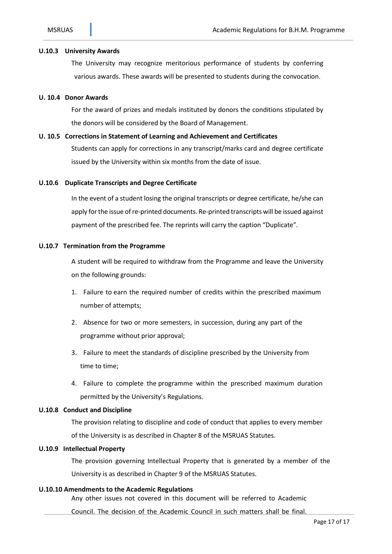#### **U.10.3 University Awards**

The University may recognize meritorious performance of students by conferring various awards. These awards will be presented to students during the convocation.

#### **U. 10.4 Donor Awards**

For the award of prizes and medals instituted by donors the conditions stipulated by the donors will be considered by the Board of Management.

#### **U. 10.5 Corrections in Statement of Learning and Achievement and Certificates**

Students can apply for corrections in any transcript/marks card and degree certificate issued by the University within six months from the date of issue.

#### **U.10.6 Duplicate Transcripts and Degree Certificate**

In the event of a student losing the original transcripts or degree certificate, he/she can apply for the issue of re-printed documents. Re-printed transcripts will be issued against payment of the prescribed fee. The reprints will carry the caption "Duplicate".

#### **U.10.7 Termination from the Programme**

A student will be required to withdraw from the Programme and leave the University on the following grounds:

- 1. Failure to earn the required number of credits within the prescribed maximum number of attempts;
- 2. Absence for two or more semesters, in succession, during any part of the programme without prior approval;
- 3. Failure to meet the standards of discipline prescribed by the University from time to time;
- 4. Failure to complete the programme within the prescribed maximum duration permitted by the University's Regulations.

#### **U.10.8 Conduct and Discipline**

The provision relating to discipline and code of conduct that applies to every member of the University is as described in Chapter 8 of the MSRUAS Statutes.

#### **U.10.9 Intellectual Property**

The provision governing Intellectual Property that is generated by a member of the University is as described in Chapter 9 of the MSRUAS Statutes.

#### **U.10.10 Amendments to the Academic Regulations**

Any other issues not covered in this document will be referred to Academic

Council. The decision of the Academic Council in such matters shall be final.